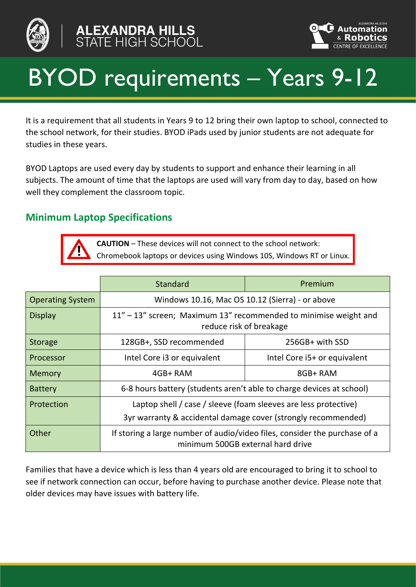





# BYOD requirements – Years 9-12

It is a requirement that all students in Years 9 to 12 bring their own laptop to school, connected to the school network, for their studies. BYOD iPads used by junior students are not adequate for studies in these years.

BYOD Laptops are used every day by students to support and enhance their learning in all subjects. The amount of time that the laptops are used will vary from day to day, based on how well they complement the classroom topic.

### **Minimum Laptop Specifications**



**CAUTION** – These devices will not connect to the school network: Chromebook laptops or devices using Windows 10S, Windows RT or Linux.

|                         | Standard                                                                                                        | Premium                                                          |
|-------------------------|-----------------------------------------------------------------------------------------------------------------|------------------------------------------------------------------|
| <b>Operating System</b> | Windows 10.16, Mac OS 10.12 (Sierra) - or above                                                                 |                                                                  |
| <b>Display</b>          | reduce risk of breakage                                                                                         | 11" – 13" screen; Maximum 13" recommended to minimise weight and |
| <b>Storage</b>          | 128GB+, SSD recommended                                                                                         | 256GB+ with SSD                                                  |
| Processor               | Intel Core i3 or equivalent                                                                                     | Intel Core i5+ or equivalent                                     |
| <b>Memory</b>           | 4GB+RAM                                                                                                         | 8GB+RAM                                                          |
| <b>Battery</b>          | 6-8 hours battery (students aren't able to charge devices at school)                                            |                                                                  |
| Protection              | Laptop shell / case / sleeve (foam sleeves are less protective)                                                 | 3yr warranty & accidental damage cover (strongly recommended)    |
| Other                   | If storing a large number of audio/video files, consider the purchase of a<br>minimum 500GB external hard drive |                                                                  |

Families that have a device which is less than 4 years old are encouraged to bring it to school to see if network connection can occur, before having to purchase another device. Please note that older devices may have issues with battery life.